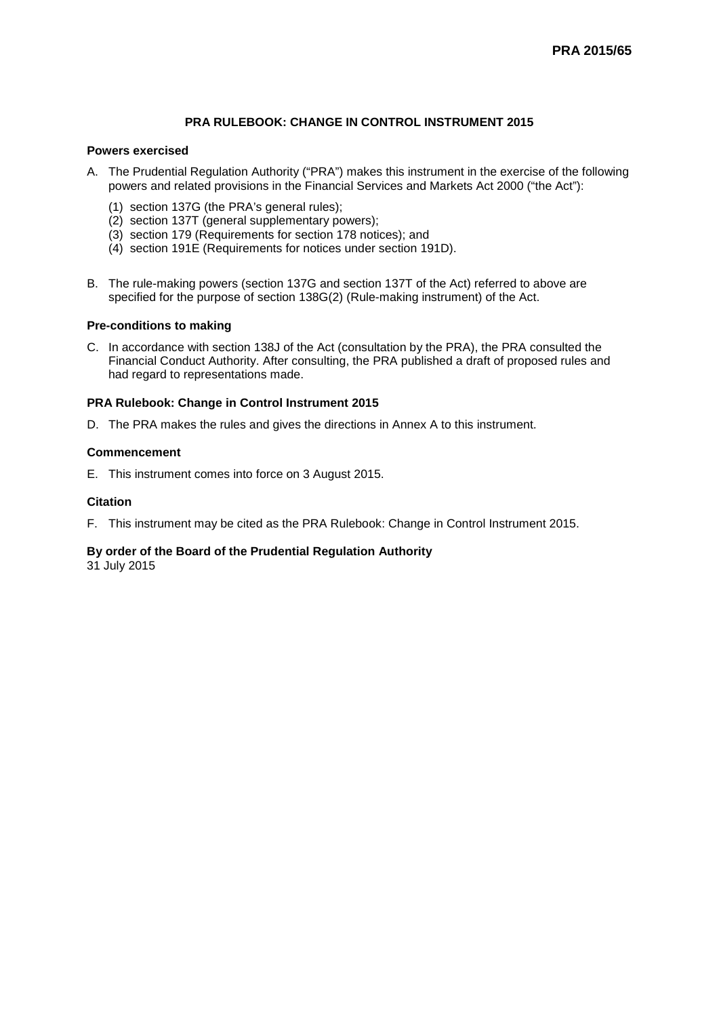## **PRA RULEBOOK: CHANGE IN CONTROL INSTRUMENT 2015**

#### **Powers exercised**

- A. The Prudential Regulation Authority ("PRA") makes this instrument in the exercise of the following powers and related provisions in the Financial Services and Markets Act 2000 ("the Act"):
	- (1) section 137G (the PRA's general rules);
	- (2) section 137T (general supplementary powers);
	- (3) section 179 (Requirements for section 178 notices); and
	- (4) section 191E (Requirements for notices under section 191D).
- B. The rule-making powers (section 137G and section 137T of the Act) referred to above are specified for the purpose of section 138G(2) (Rule-making instrument) of the Act.

#### **Pre-conditions to making**

C. In accordance with section 138J of the Act (consultation by the PRA), the PRA consulted the Financial Conduct Authority. After consulting, the PRA published a draft of proposed rules and had regard to representations made.

## **PRA Rulebook: Change in Control Instrument 2015**

D. The PRA makes the rules and gives the directions in Annex A to this instrument.

#### **Commencement**

E. This instrument comes into force on 3 August 2015.

#### **Citation**

F. This instrument may be cited as the PRA Rulebook: Change in Control Instrument 2015.

## **By order of the Board of the Prudential Regulation Authority**

31 July 2015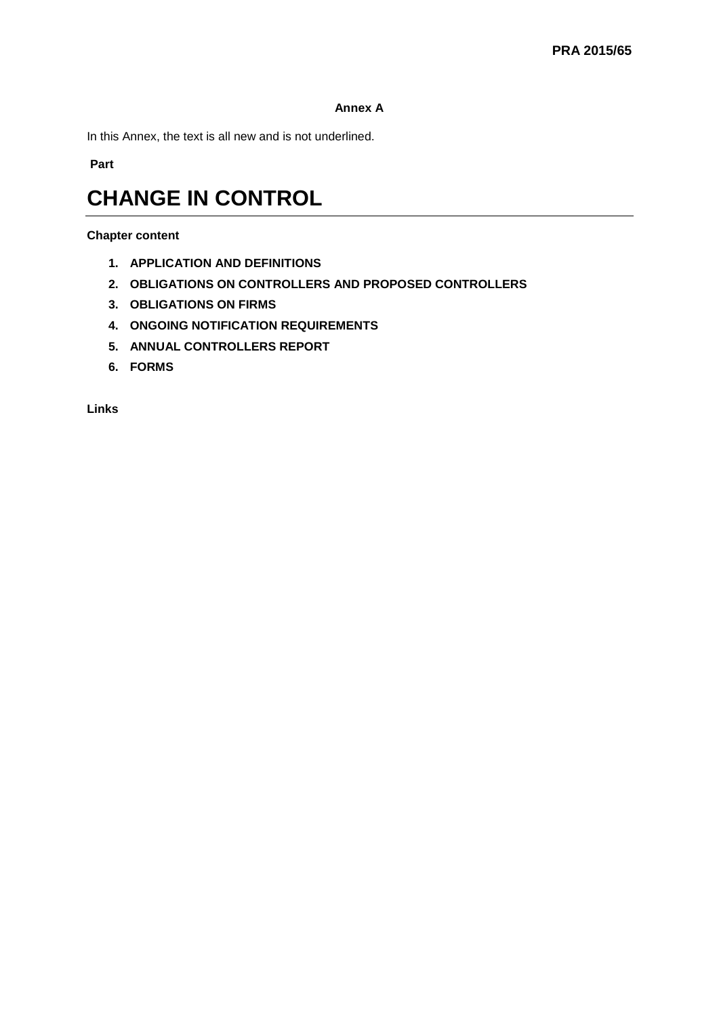## **Annex A**

In this Annex, the text is all new and is not underlined.

**Part** 

# **CHANGE IN CONTROL**

## **Chapter content**

- **1. APPLICATION AND DEFINITIONS**
- **2. OBLIGATIONS ON CONTROLLERS AND PROPOSED CONTROLLERS**
- **3. OBLIGATIONS ON FIRMS**
- **4. ONGOING NOTIFICATION REQUIREMENTS**
- **5. ANNUAL CONTROLLERS REPORT**
- **6. FORMS**

**Links**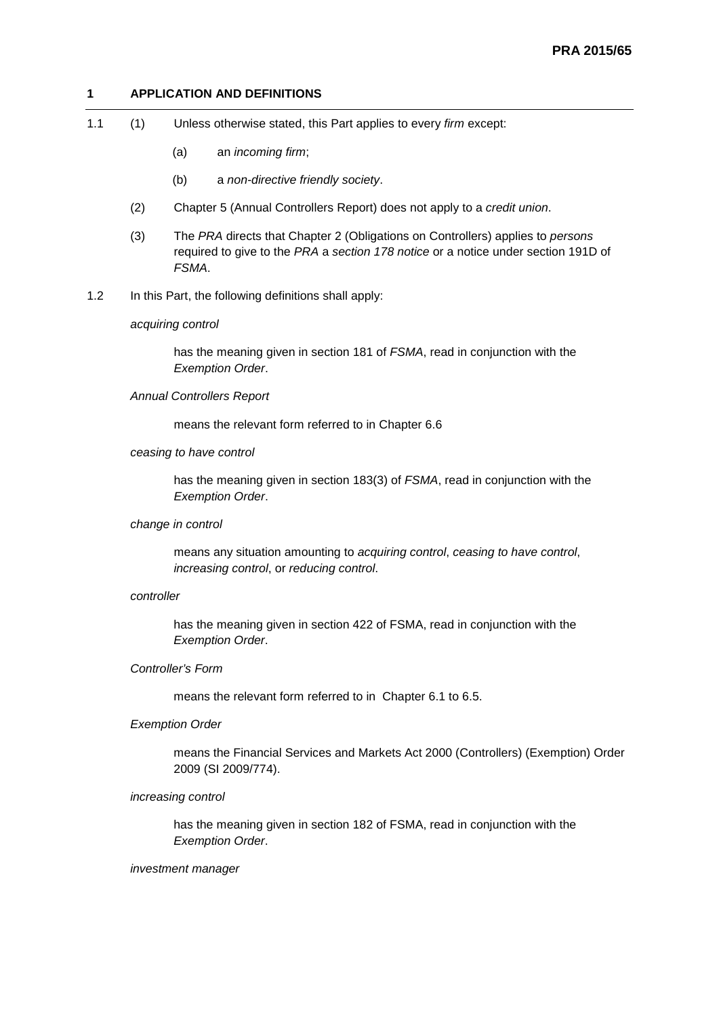## **1 APPLICATION AND DEFINITIONS**

- 1.1 (1) Unless otherwise stated, this Part applies to every *firm* except:
	- (a) an *incoming firm*;
	- (b) a *non-directive friendly society*.
	- (2) Chapter 5 (Annual Controllers Report) does not apply to a *credit union*.
	- (3) The *PRA* directs that Chapter 2 (Obligations on Controllers) applies to *persons* required to give to the *PRA* a *section 178 notice* or a notice under section 191D of *FSMA*.
- 1.2 In this Part, the following definitions shall apply:

#### *acquiring control*

has the meaning given in section 181 of *FSMA*, read in conjunction with the *Exemption Order*.

#### *Annual Controllers Report*

means the relevant form referred to in Chapter 6.6

#### *ceasing to have control*

has the meaning given in section 183(3) of *FSMA*, read in conjunction with the *Exemption Order*.

#### *change in control*

means any situation amounting to *acquiring control*, *ceasing to have control*, *increasing control*, or *reducing control*.

#### *controller*

has the meaning given in section 422 of FSMA, read in conjunction with the *Exemption Order*.

### *Controller's Form*

means the relevant form referred to in Chapter 6.1 to 6.5.

#### *Exemption Order*

means the Financial Services and Markets Act 2000 (Controllers) (Exemption) Order 2009 (SI 2009/774).

#### *increasing control*

has the meaning given in section 182 of FSMA, read in conjunction with the *Exemption Order*.

#### *investment manager*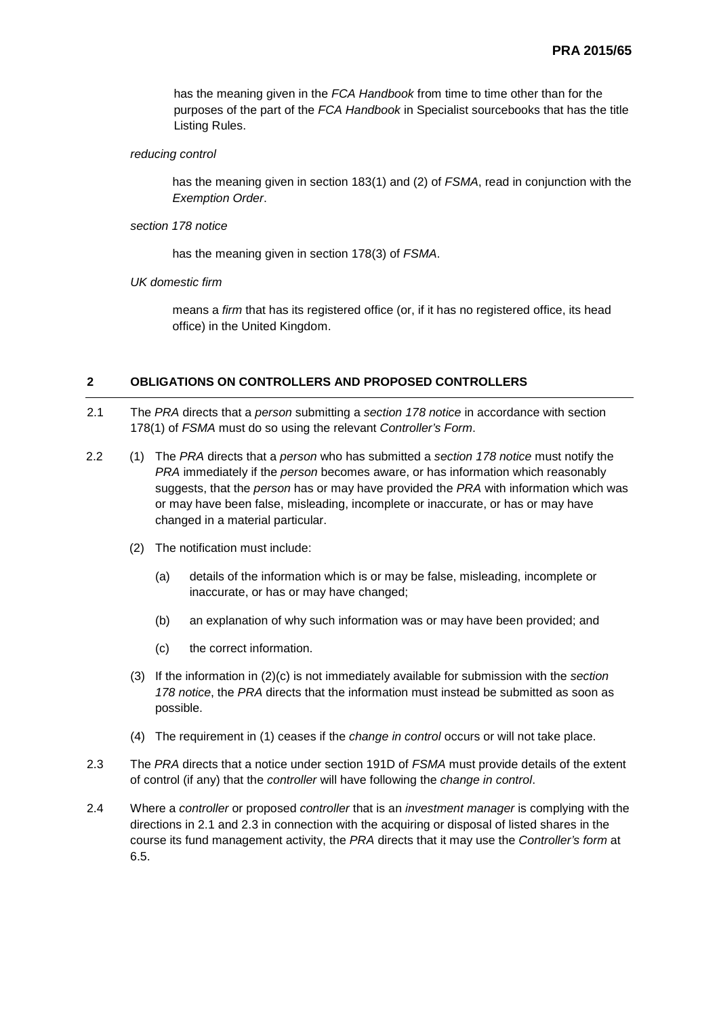has the meaning given in the *FCA Handbook* from time to time other than for the purposes of the part of the *FCA Handbook* in Specialist sourcebooks that has the title Listing Rules.

*reducing control*

has the meaning given in section 183(1) and (2) of *FSMA*, read in conjunction with the *Exemption Order*.

*section 178 notice*

has the meaning given in section 178(3) of *FSMA*.

*UK domestic firm*

means a *firm* that has its registered office (or, if it has no registered office, its head office) in the United Kingdom.

## **2 OBLIGATIONS ON CONTROLLERS AND PROPOSED CONTROLLERS**

- 2.1 The *PRA* directs that a *person* submitting a *section 178 notice* in accordance with section 178(1) of *FSMA* must do so using the relevant *Controller's Form*.
- 2.2 (1) The *PRA* directs that a *person* who has submitted a *section 178 notice* must notify the *PRA* immediately if the *person* becomes aware, or has information which reasonably suggests, that the *person* has or may have provided the *PRA* with information which was or may have been false, misleading, incomplete or inaccurate, or has or may have changed in a material particular.
	- (2) The notification must include:
		- (a) details of the information which is or may be false, misleading, incomplete or inaccurate, or has or may have changed;
		- (b) an explanation of why such information was or may have been provided; and
		- (c) the correct information.
	- (3) If the information in (2)(c) is not immediately available for submission with the *section 178 notice*, the *PRA* directs that the information must instead be submitted as soon as possible.
	- (4) The requirement in (1) ceases if the *change in control* occurs or will not take place.
- 2.3 The *PRA* directs that a notice under section 191D of *FSMA* must provide details of the extent of control (if any) that the *controller* will have following the *change in control*.
- 2.4 Where a *controller* or proposed *controller* that is an *investment manager* is complying with the directions in 2.1 and 2.3 in connection with the acquiring or disposal of listed shares in the course its fund management activity, the *PRA* directs that it may use the *Controller's form* at 6.5.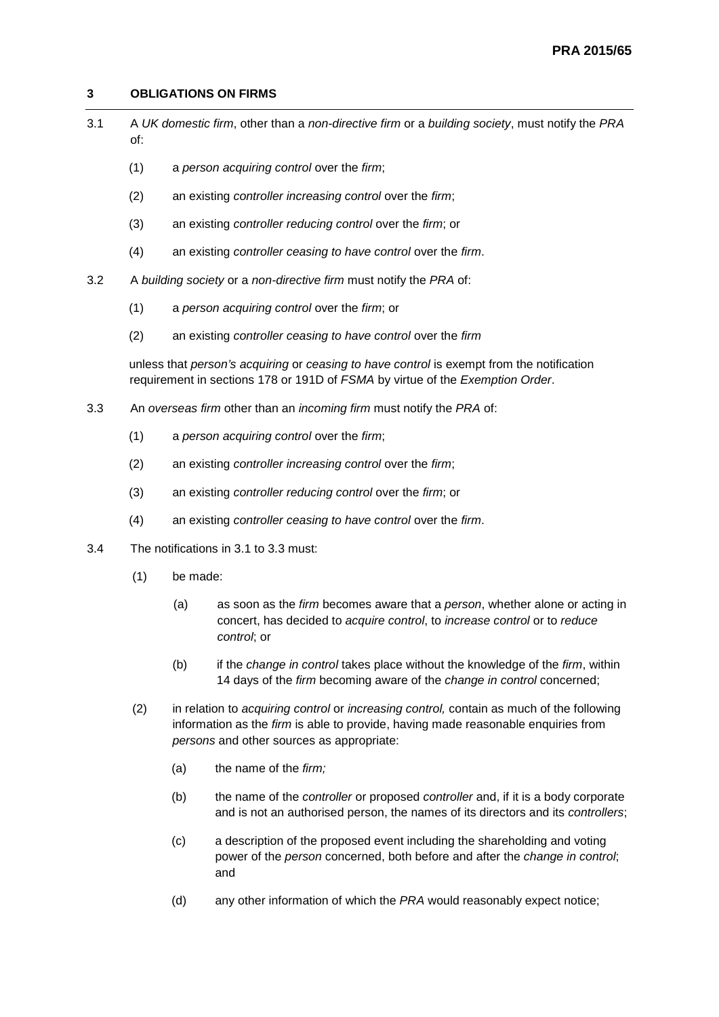## **3 OBLIGATIONS ON FIRMS**

- 3.1 A *UK domestic firm*, other than a *non-directive firm* or a *building society*, must notify the *PRA* of:
	- (1) a *person acquiring control* over the *firm*;
	- (2) an existing *controller increasing control* over the *firm*;
	- (3) an existing *controller reducing control* over the *firm*; or
	- (4) an existing *controller ceasing to have control* over the *firm*.
- 3.2 A *building society* or a *non-directive firm* must notify the *PRA* of:
	- (1) a *person acquiring control* over the *firm*; or
	- (2) an existing *controller ceasing to have control* over the *firm*

unless that *person's acquiring* or *ceasing to have control* is exempt from the notification requirement in sections 178 or 191D of *FSMA* by virtue of the *Exemption Order*.

- 3.3 An *overseas firm* other than an *incoming firm* must notify the *PRA* of:
	- (1) a *person acquiring control* over the *firm*;
	- (2) an existing *controller increasing control* over the *firm*;
	- (3) an existing *controller reducing control* over the *firm*; or
	- (4) an existing *controller ceasing to have control* over the *firm*.
- 3.4 The notifications in 3.1 to 3.3 must:
	- (1) be made:
		- (a) as soon as the *firm* becomes aware that a *person*, whether alone or acting in concert, has decided to *acquire control*, to *increase control* or to *reduce control*; or
		- (b) if the *change in control* takes place without the knowledge of the *firm*, within 14 days of the *firm* becoming aware of the *change in control* concerned;
	- (2) in relation to *acquiring control* or *increasing control,* contain as much of the following information as the *firm* is able to provide, having made reasonable enquiries from *persons* and other sources as appropriate:
		- (a) the name of the *firm;*
		- (b) the name of the *controller* or proposed *controller* and, if it is a body corporate and is not an authorised person, the names of its directors and its *controllers*;
		- (c) a description of the proposed event including the shareholding and voting power of the *person* concerned, both before and after the *change in control*; and
		- (d) any other information of which the *PRA* would reasonably expect notice;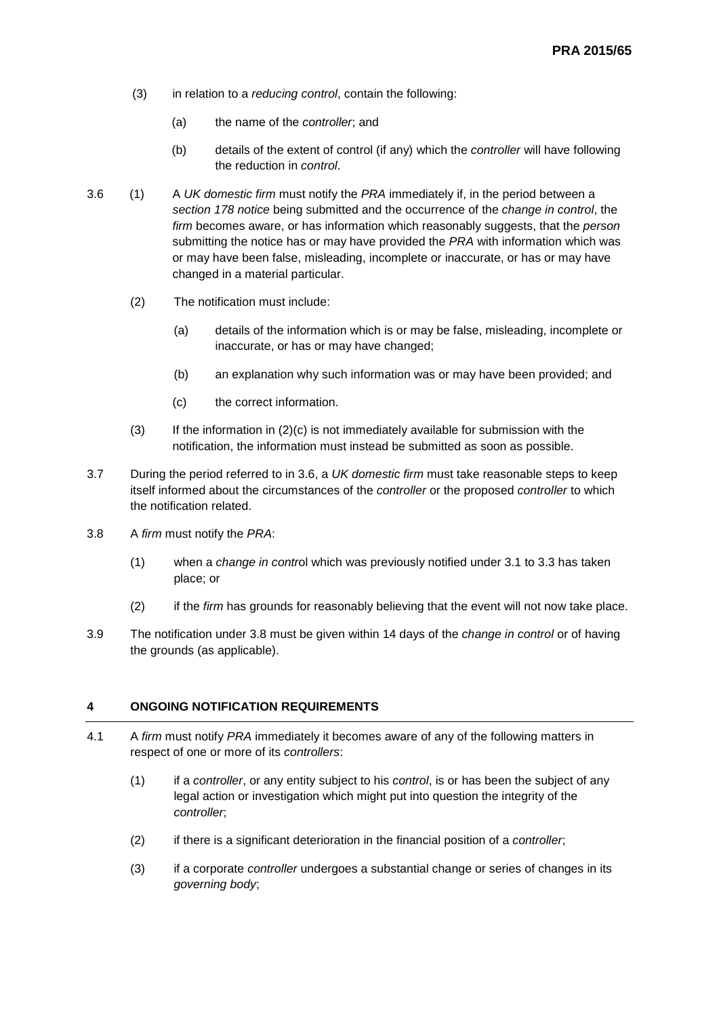- (3) in relation to a *reducing control*, contain the following:
	- (a) the name of the *controller*; and
	- (b) details of the extent of control (if any) which the *controller* will have following the reduction in *control*.
- 3.6 (1) A *UK domestic firm* must notify the *PRA* immediately if, in the period between a *section 178 notice* being submitted and the occurrence of the *change in control*, the *firm* becomes aware, or has information which reasonably suggests, that the *person* submitting the notice has or may have provided the *PRA* with information which was or may have been false, misleading, incomplete or inaccurate, or has or may have changed in a material particular.
	- (2) The notification must include:
		- (a) details of the information which is or may be false, misleading, incomplete or inaccurate, or has or may have changed;
		- (b) an explanation why such information was or may have been provided; and
		- (c) the correct information.
	- $(3)$  If the information in  $(2)(c)$  is not immediately available for submission with the notification, the information must instead be submitted as soon as possible.
- 3.7 During the period referred to in 3.6, a *UK domestic firm* must take reasonable steps to keep itself informed about the circumstances of the *controller* or the proposed *controller* to which the notification related.
- 3.8 A *firm* must notify the *PRA*:
	- (1) when a *change in contr*ol which was previously notified under 3.1 to 3.3 has taken place; or
	- (2) if the *firm* has grounds for reasonably believing that the event will not now take place.
- 3.9 The notification under 3.8 must be given within 14 days of the *change in control* or of having the grounds (as applicable).

## **4 ONGOING NOTIFICATION REQUIREMENTS**

- 4.1 A *firm* must notify *PRA* immediately it becomes aware of any of the following matters in respect of one or more of its *controllers*:
	- (1) if a *controller*, or any entity subject to his *control*, is or has been the subject of any legal action or investigation which might put into question the integrity of the *controller*;
	- (2) if there is a significant deterioration in the financial position of a *controller*;
	- (3) if a corporate *controller* undergoes a substantial change or series of changes in its *governing body*;